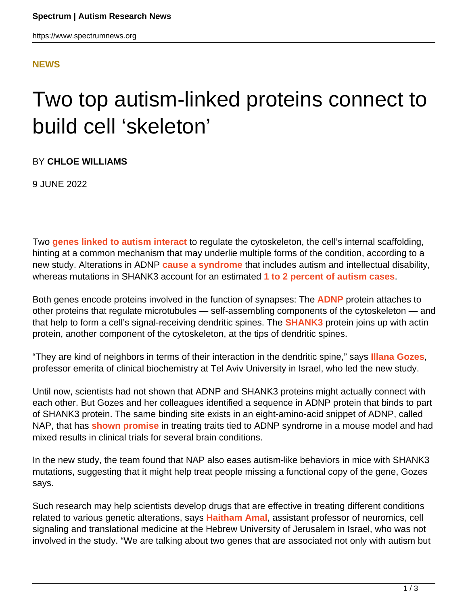## **[NEWS](HTTPS://WWW.SPECTRUMNEWS.ORG/NEWS/)**

## Two top autism-linked proteins connect to build cell 'skeleton'

BY **CHLOE WILLIAMS**

9 JUNE 2022

Two **[genes linked to autism interact](https://doi.org/10.1038/s41380-022-01603-w)** to regulate the cytoskeleton, the cell's internal scaffolding, hinting at a common mechanism that may underlie multiple forms of the condition, according to a new study. Alterations in ADNP **[cause a syndrome](https://www.spectrumnews.org/news/autism-syndrome-involves-constellation-medical-issues/)** that includes autism and intellectual disability, whereas mutations in SHANK3 account for an estimated **[1 to 2 percent of autism cases](https://www.spectrumnews.org/news/shank3-mutations-turn-up-in-high-proportion-of-autism-cases/)**.

Both genes encode proteins involved in the function of synapses: The **[ADNP](https://gene.sfari.org/database/human-gene/ADNP)** protein attaches to other proteins that regulate microtubules — self-assembling components of the cytoskeleton — and that help to form a cell's signal-receiving dendritic spines. The **[SHANK3](https://gene.sfari.org/database/human-gene/SHANK3)** protein joins up with actin protein, another component of the cytoskeleton, at the tips of dendritic spines.

"They are kind of neighbors in terms of their interaction in the dendritic spine," says **[Illana Gozes](https://english.tau.ac.il/profile/igozes)**, professor emerita of clinical biochemistry at Tel Aviv University in Israel, who led the new study.

Until now, scientists had not shown that ADNP and SHANK3 proteins might actually connect with each other. But Gozes and her colleagues identified a sequence in ADNP protein that binds to part of SHANK3 protein. The same binding site exists in an eight-amino-acid snippet of ADNP, called NAP, that has **[shown promise](https://www.spectrumnews.org/news/sex-bias-emerges-in-new-mouse-model-with-autism-linked-mutation/)** in treating traits tied to ADNP syndrome in a mouse model and had mixed results in clinical trials for several brain conditions.

In the new study, the team found that NAP also eases autism-like behaviors in mice with SHANK3 mutations, suggesting that it might help treat people missing a functional copy of the gene, Gozes says.

Such research may help scientists develop drugs that are effective in treating different conditions related to various genetic alterations, says **[Haitham Amal](https://www.amal-lab.com/)**, assistant professor of neuromics, cell signaling and translational medicine at the Hebrew University of Jerusalem in Israel, who was not involved in the study. "We are talking about two genes that are associated not only with autism but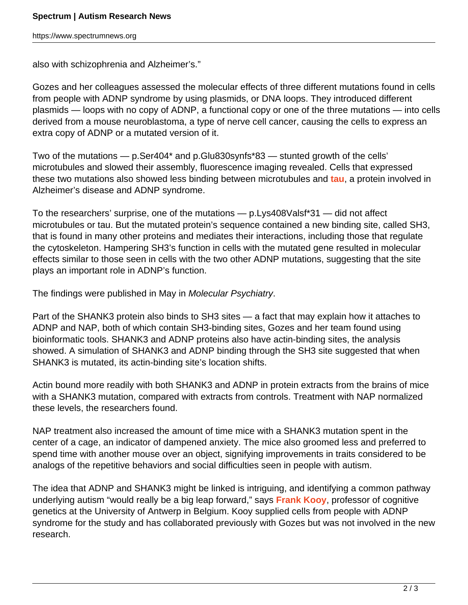also with schizophrenia and Alzheimer's."

Gozes and her colleagues assessed the molecular effects of three different mutations found in cells from people with ADNP syndrome by using plasmids, or DNA loops. They introduced different plasmids — loops with no copy of ADNP, a functional copy or one of the three mutations — into cells derived from a mouse neuroblastoma, a type of nerve cell cancer, causing the cells to express an extra copy of ADNP or a mutated version of it.

Two of the mutations — p.Ser404\* and p.Glu830synfs\*83 — stunted growth of the cells' microtubules and slowed their assembly, fluorescence imaging revealed. Cells that expressed these two mutations also showed less binding between microtubules and **[tau](https://www.spectrumnews.org/news/alzheimers-protein-turns-up-as-potential-target-for-autism-treatments/)**, a protein involved in Alzheimer's disease and ADNP syndrome.

To the researchers' surprise, one of the mutations — p.Lys408Valsf\*31 — did not affect microtubules or tau. But the mutated protein's sequence contained a new binding site, called SH3, that is found in many other proteins and mediates their interactions, including those that regulate the cytoskeleton. Hampering SH3's function in cells with the mutated gene resulted in molecular effects similar to those seen in cells with the two other ADNP mutations, suggesting that the site plays an important role in ADNP's function.

The findings were published in May in Molecular Psychiatry.

Part of the SHANK3 protein also binds to SH3 sites — a fact that may explain how it attaches to ADNP and NAP, both of which contain SH3-binding sites, Gozes and her team found using bioinformatic tools. SHANK3 and ADNP proteins also have actin-binding sites, the analysis showed. A simulation of SHANK3 and ADNP binding through the SH3 site suggested that when SHANK3 is mutated, its actin-binding site's location shifts.

Actin bound more readily with both SHANK3 and ADNP in protein extracts from the brains of mice with a SHANK3 mutation, compared with extracts from controls. Treatment with NAP normalized these levels, the researchers found.

NAP treatment also increased the amount of time mice with a SHANK3 mutation spent in the center of a cage, an indicator of dampened anxiety. The mice also groomed less and preferred to spend time with another mouse over an object, signifying improvements in traits considered to be analogs of the repetitive behaviors and social difficulties seen in people with autism.

The idea that ADNP and SHANK3 might be linked is intriguing, and identifying a common pathway underlying autism "would really be a big leap forward," says **[Frank Kooy](https://www.uantwerpen.be/en/staff/frank-kooy/)**, professor of cognitive genetics at the University of Antwerp in Belgium. Kooy supplied cells from people with ADNP syndrome for the study and has collaborated previously with Gozes but was not involved in the new research.